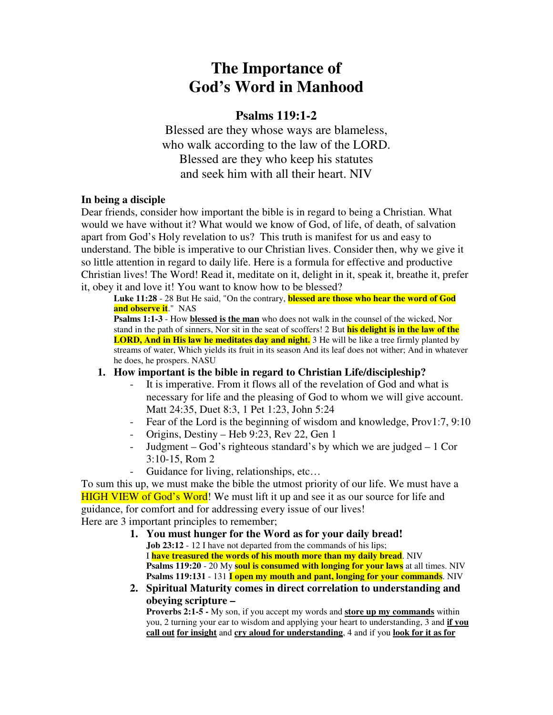# **The Importance of God's Word in Manhood**

# **Psalms 119:1-2**

Blessed are they whose ways are blameless, who walk according to the law of the LORD. Blessed are they who keep his statutes and seek him with all their heart. NIV

## **In being a disciple**

Dear friends, consider how important the bible is in regard to being a Christian. What would we have without it? What would we know of God, of life, of death, of salvation apart from God's Holy revelation to us? This truth is manifest for us and easy to understand. The bible is imperative to our Christian lives. Consider then, why we give it so little attention in regard to daily life. Here is a formula for effective and productive Christian lives! The Word! Read it, meditate on it, delight in it, speak it, breathe it, prefer it, obey it and love it! You want to know how to be blessed?

**Luke 11:28** - 28 But He said, "On the contrary, **blessed are those who hear the word of God and observe it**." NAS

**Psalms 1:1-3** - How **blessed is the man** who does not walk in the counsel of the wicked, Nor stand in the path of sinners, Nor sit in the seat of scoffers! 2 But **his delight is in the law of the LORD, And in His law he meditates day and night.** 3 He will be like a tree firmly planted by streams of water, Which yields its fruit in its season And its leaf does not wither; And in whatever he does, he prospers. NASU

## **1. How important is the bible in regard to Christian Life/discipleship?**

- It is imperative. From it flows all of the revelation of God and what is necessary for life and the pleasing of God to whom we will give account. Matt 24:35, Duet 8:3, 1 Pet 1:23, John 5:24
- Fear of the Lord is the beginning of wisdom and knowledge, Prov1:7, 9:10
- Origins, Destiny Heb 9:23, Rev 22, Gen 1
- Judgment God's righteous standard's by which we are judged 1 Cor 3:10-15, Rom 2
- Guidance for living, relationships, etc…

To sum this up, we must make the bible the utmost priority of our life. We must have a HIGH VIEW of God's Word! We must lift it up and see it as our source for life and guidance, for comfort and for addressing every issue of our lives! Here are 3 important principles to remember;

- **1. You must hunger for the Word as for your daily bread! Job** 23:12 - 12 I have not departed from the commands of his lips; I **have treasured the words of his mouth more than my daily bread**. NIV **Psalms 119:20** - 20 My **soul is consumed with longing for your laws** at all times. NIV **Psalms 119:131** - 131 **I open my mouth and pant, longing for your commands**. NIV
- **2. Spiritual Maturity comes in direct correlation to understanding and obeying scripture –**

**Proverbs 2:1-5 -** My son, if you accept my words and **store up my commands** within you, 2 turning your ear to wisdom and applying your heart to understanding, 3 and **if you call out for insight** and **cry aloud for understanding**, 4 and if you **look for it as for**